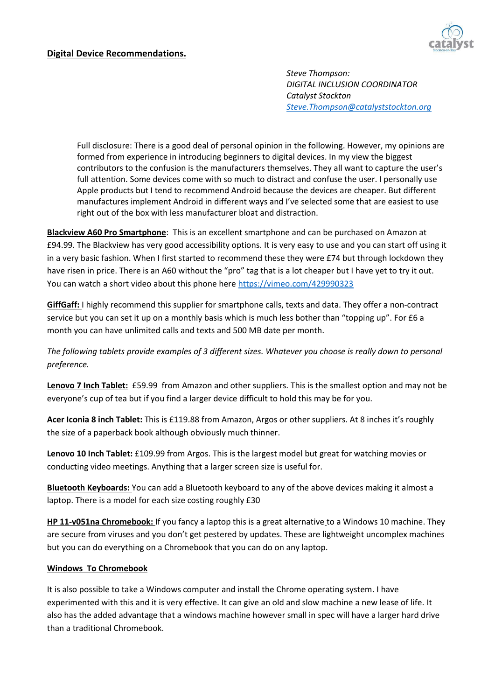## **Digital Device Recommendations.**



*Steve Thompson: DIGITAL INCLUSION COORDINATOR Catalyst Stockton [Steve.Thompson@catalyststockton.org](mailto:Steve.Thompson@catalyststockton.org)*

Full disclosure: There is a good deal of personal opinion in the following. However, my opinions are formed from experience in introducing beginners to digital devices. In my view the biggest contributors to the confusion is the manufacturers themselves. They all want to capture the user's full attention. Some devices come with so much to distract and confuse the user. I personally use Apple products but I tend to recommend Android because the devices are cheaper. But different manufactures implement Android in different ways and I've selected some that are easiest to use right out of the box with less manufacturer bloat and distraction.

**Blackview A60 Pro Smartphone**: This is an excellent smartphone and can be purchased on Amazon at £94.99. The Blackview has very good accessibility options. It is very easy to use and you can start off using it in a very basic fashion. When I first started to recommend these they were £74 but through lockdown they have risen in price. There is an A60 without the "pro" tag that is a lot cheaper but I have yet to try it out. You can watch a short video about this phone here<https://vimeo.com/429990323>

**GiffGaff:** I highly recommend this supplier for smartphone calls, texts and data. They offer a non-contract service but you can set it up on a monthly basis which is much less bother than "topping up". For £6 a month you can have unlimited calls and texts and 500 MB date per month.

*The following tablets provide examples of 3 different sizes. Whatever you choose is really down to personal preference.*

**Lenovo 7 Inch Tablet:** £59.99 from Amazon and other suppliers. This is the smallest option and may not be everyone's cup of tea but if you find a larger device difficult to hold this may be for you.

**Acer Iconia 8 inch Tablet:** This is £119.88 from Amazon, Argos or other suppliers. At 8 inches it's roughly the size of a paperback book although obviously much thinner.

**Lenovo 10 Inch Tablet:** £109.99 from Argos. This is the largest model but great for watching movies or conducting video meetings. Anything that a larger screen size is useful for.

**Bluetooth Keyboards:** You can add a Bluetooth keyboard to any of the above devices making it almost a laptop. There is a model for each size costing roughly £30

**HP 11-v051na Chromebook:** If you fancy a laptop this is a great alternative to a Windows 10 machine. They are secure from viruses and you don't get pestered by updates. These are lightweight uncomplex machines but you can do everything on a Chromebook that you can do on any laptop.

## **Windows To Chromebook**

It is also possible to take a Windows computer and install the Chrome operating system. I have experimented with this and it is very effective. It can give an old and slow machine a new lease of life. It also has the added advantage that a windows machine however small in spec will have a larger hard drive than a traditional Chromebook.